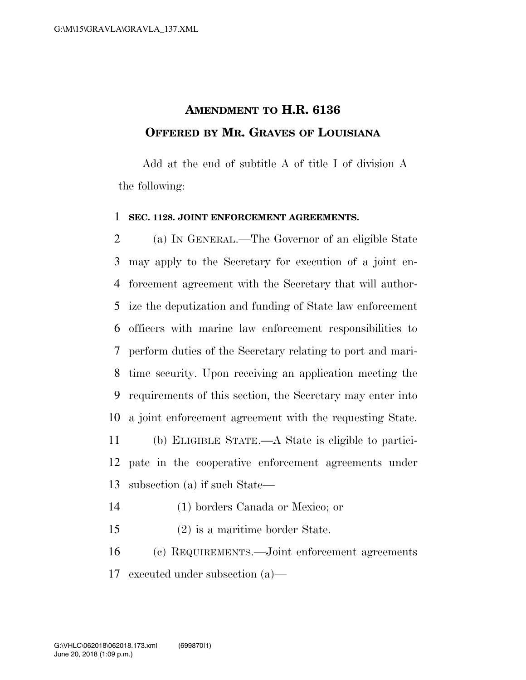## **AMENDMENT TO H.R. 6136 OFFERED BY MR. GRAVES OF LOUISIANA**

Add at the end of subtitle A of title I of division A the following:

## **SEC. 1128. JOINT ENFORCEMENT AGREEMENTS.**

 (a) IN GENERAL.—The Governor of an eligible State may apply to the Secretary for execution of a joint en- forcement agreement with the Secretary that will author- ize the deputization and funding of State law enforcement officers with marine law enforcement responsibilities to perform duties of the Secretary relating to port and mari- time security. Upon receiving an application meeting the requirements of this section, the Secretary may enter into a joint enforcement agreement with the requesting State. (b) ELIGIBLE STATE.—A State is eligible to partici- pate in the cooperative enforcement agreements under subsection (a) if such State—

- (1) borders Canada or Mexico; or
- (2) is a maritime border State.

 (c) REQUIREMENTS.—Joint enforcement agreements executed under subsection (a)—